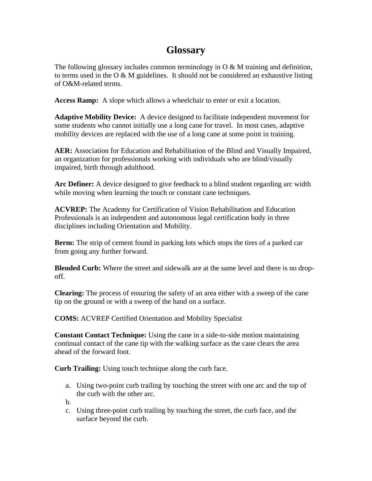## **Glossary**

The following glossary includes common terminology in O & M training and definition, to terms used in the O  $\&$  M guidelines. It should not be considered an exhaustive listing of O&M-related terms.

**Access Ramp:** A slope which allows a wheelchair to enter or exit a location.

**Adaptive Mobility Device:** A device designed to facilitate independent movement for some students who cannot initially use a long cane for travel. In most cases, adaptive mobility devices are replaced with the use of a long cane at some point in training.

**AER:** Association for Education and Rehabilitation of the Blind and Visually Impaired, an organization for professionals working with individuals who are blind/visually impaired, birth through adulthood.

**Arc Definer:** A device designed to give feedback to a blind student regarding arc width while moving when learning the touch or constant cane techniques.

**ACVREP:** The Academy for Certification of Vision Rehabilitation and Education Professionals is an independent and autonomous legal certification body in three disciplines including Orientation and Mobility.

**Berm:** The strip of cement found in parking lots which stops the tires of a parked car from going any further forward.

**Blended Curb:** Where the street and sidewalk are at the same level and there is no dropoff.

**Clearing:** The process of ensuring the safety of an area either with a sweep of the cane tip on the ground or with a sweep of the hand on a surface.

**COMS:** ACVREP Certified Orientation and Mobility Specialist

**Constant Contact Technique:** Using the cane in a side-to-side motion maintaining continual contact of the cane tip with the walking surface as the cane clears the area ahead of the forward foot.

**Curb Trailing:** Using touch technique along the curb face.

- a. Using two-point curb trailing by touching the street with one arc and the top of the curb with the other arc.
- b.
- c. Using three-point curb trailing by touching the street, the curb face, and the surface beyond the curb.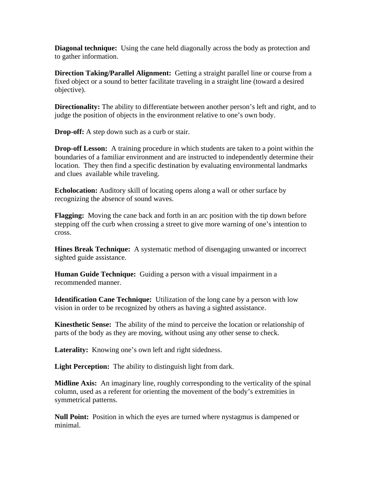**Diagonal technique:** Using the cane held diagonally across the body as protection and to gather information.

**Direction Taking/Parallel Alignment:** Getting a straight parallel line or course from a fixed object or a sound to better facilitate traveling in a straight line (toward a desired objective).

**Directionality:** The ability to differentiate between another person's left and right, and to judge the position of objects in the environment relative to one's own body.

**Drop-off:** A step down such as a curb or stair.

**Drop-off Lesson:** A training procedure in which students are taken to a point within the boundaries of a familiar environment and are instructed to independently determine their location. They then find a specific destination by evaluating environmental landmarks and clues available while traveling.

**Echolocation:** Auditory skill of locating opens along a wall or other surface by recognizing the absence of sound waves.

**Flagging:** Moving the cane back and forth in an arc position with the tip down before stepping off the curb when crossing a street to give more warning of one's intention to cross.

**Hines Break Technique:** A systematic method of disengaging unwanted or incorrect sighted guide assistance.

**Human Guide Technique:** Guiding a person with a visual impairment in a recommended manner.

**Identification Cane Technique:** Utilization of the long cane by a person with low vision in order to be recognized by others as having a sighted assistance.

**Kinesthetic Sense:** The ability of the mind to perceive the location or relationship of parts of the body as they are moving, without using any other sense to check.

Laterality: Knowing one's own left and right sidedness.

**Light Perception:** The ability to distinguish light from dark.

**Midline Axis:** An imaginary line, roughly corresponding to the verticality of the spinal column, used as a referent for orienting the movement of the body's extremities in symmetrical patterns.

**Null Point:** Position in which the eyes are turned where nystagmus is dampened or minimal.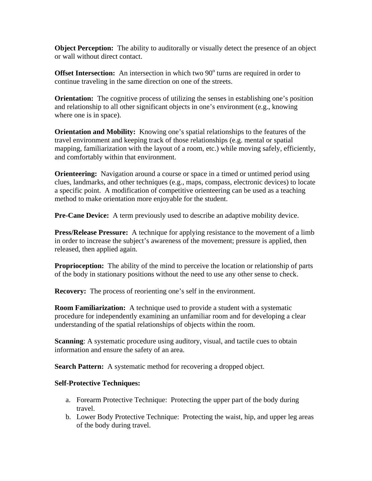**Object Perception:** The ability to auditorally or visually detect the presence of an object or wall without direct contact.

**Offset Intersection:** An intersection in which two 90<sup>°</sup> turns are required in order to continue traveling in the same direction on one of the streets.

**Orientation:** The cognitive process of utilizing the senses in establishing one's position and relationship to all other significant objects in one's environment (e.g., knowing where one is in space).

**Orientation and Mobility:** Knowing one's spatial relationships to the features of the travel environment and keeping track of those relationships (e.g. mental or spatial mapping, familiarization with the layout of a room, etc.) while moving safely, efficiently, and comfortably within that environment.

**Orienteering:** Navigation around a course or space in a timed or untimed period using clues, landmarks, and other techniques (e.g., maps, compass, electronic devices) to locate a specific point. A modification of competitive orienteering can be used as a teaching method to make orientation more enjoyable for the student.

**Pre-Cane Device:** A term previously used to describe an adaptive mobility device.

**Press/Release Pressure:** A technique for applying resistance to the movement of a limb in order to increase the subject's awareness of the movement; pressure is applied, then released, then applied again.

**Proprioception:** The ability of the mind to perceive the location or relationship of parts of the body in stationary positions without the need to use any other sense to check.

**Recovery:** The process of reorienting one's self in the environment.

**Room Familiarization:** A technique used to provide a student with a systematic procedure for independently examining an unfamiliar room and for developing a clear understanding of the spatial relationships of objects within the room.

**Scanning:** A systematic procedure using auditory, visual, and tactile cues to obtain information and ensure the safety of an area.

**Search Pattern:** A systematic method for recovering a dropped object.

## **Self-Protective Techniques:**

- a. Forearm Protective Technique: Protecting the upper part of the body during travel.
- b. Lower Body Protective Technique: Protecting the waist, hip, and upper leg areas of the body during travel.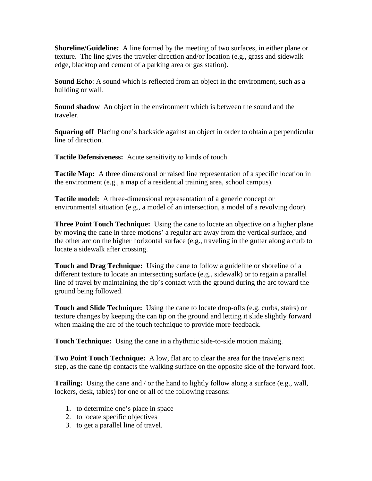**Shoreline/Guideline:** A line formed by the meeting of two surfaces, in either plane or texture. The line gives the traveler direction and/or location (e.g., grass and sidewalk edge, blacktop and cement of a parking area or gas station).

**Sound Echo**: A sound which is reflected from an object in the environment, such as a building or wall.

**Sound shadow** An object in the environment which is between the sound and the traveler.

**Squaring off** Placing one's backside against an object in order to obtain a perpendicular line of direction.

**Tactile Defensiveness:** Acute sensitivity to kinds of touch.

**Tactile Map:** A three dimensional or raised line representation of a specific location in the environment (e.g., a map of a residential training area, school campus).

**Tactile model:** A three-dimensional representation of a generic concept or environmental situation (e.g., a model of an intersection, a model of a revolving door).

**Three Point Touch Technique:** Using the cane to locate an objective on a higher plane by moving the cane in three motions' a regular arc away from the vertical surface, and the other arc on the higher horizontal surface (e.g., traveling in the gutter along a curb to locate a sidewalk after crossing.

**Touch and Drag Technique:** Using the cane to follow a guideline or shoreline of a different texture to locate an intersecting surface (e.g., sidewalk) or to regain a parallel line of travel by maintaining the tip's contact with the ground during the arc toward the ground being followed.

**Touch and Slide Technique:** Using the cane to locate drop-offs (e.g. curbs, stairs) or texture changes by keeping the can tip on the ground and letting it slide slightly forward when making the arc of the touch technique to provide more feedback.

**Touch Technique:** Using the cane in a rhythmic side-to-side motion making.

**Two Point Touch Technique:** A low, flat arc to clear the area for the traveler's next step, as the cane tip contacts the walking surface on the opposite side of the forward foot.

**Trailing:** Using the cane and / or the hand to lightly follow along a surface (e.g., wall, lockers, desk, tables) for one or all of the following reasons:

- 1. to determine one's place in space
- 2. to locate specific objectives
- 3. to get a parallel line of travel.